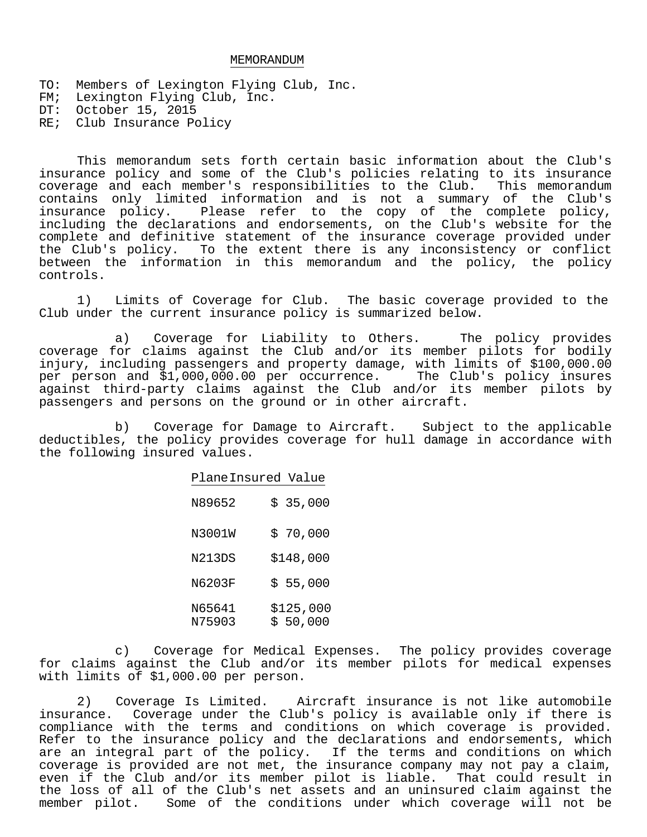## MEMORANDUM

TO: Members of Lexington Flying Club, Inc. FM; Lexington Flying Club, Inc. DT: October 15, 2015 RE; Club Insurance Policy

This memorandum sets forth certain basic information about the Club's insurance policy and some of the Club's policies relating to its insurance coverage and each member's responsibilities to the Club. This memorandum contains only limited information and is not a summary of the Club's insurance policy. Please refer to the copy of the complete policy, including the declarations and endorsements, on the Club's website for the complete and definitive statement of the insurance coverage provided under the Club's policy. To the extent there is any inconsistency or conflict between the information in this memorandum and the policy, the policy controls.

1) Limits of Coverage for Club. The basic coverage provided to the Club under the current insurance policy is summarized below.

a) Coverage for Liability to Others. The policy provides coverage for claims against the Club and/or its member pilots for bodily injury, including passengers and property damage, with limits of \$100,000.00 per person and \$1,000,000.00 per occurrence. The Club's policy insures against third-party claims against the Club and/or its member pilots by passengers and persons on the ground or in other aircraft.

b) Coverage for Damage to Aircraft. Subject to the applicable deductibles, the policy provides coverage for hull damage in accordance with the following insured values.

| PlaneInsured Value |    |                     |
|--------------------|----|---------------------|
| N89652             |    | \$35,000            |
| N3001W             | Ŝ. | 70,000              |
| N213DS             |    | \$148,000           |
| N6203F             |    | \$55,000            |
| N65641<br>N75903   | Ŝ. | \$125,000<br>50,000 |

c) Coverage for Medical Expenses. The policy provides coverage for claims against the Club and/or its member pilots for medical expenses with limits of \$1,000.00 per person.

2) Coverage Is Limited. Aircraft insurance is not like automobile insurance. Coverage under the Club's policy is available only if there is compliance with the terms and conditions on which coverage is provided. Refer to the insurance policy and the declarations and endorsements, which are an integral part of the policy. If the terms and conditions on which coverage is provided are not met, the insurance company may not pay a claim, even if the Club and/or its member pilot is liable. That could result in the loss of all of the Club's net assets and an uninsured claim against the member pilot. Some of the conditions under which coverage will not be